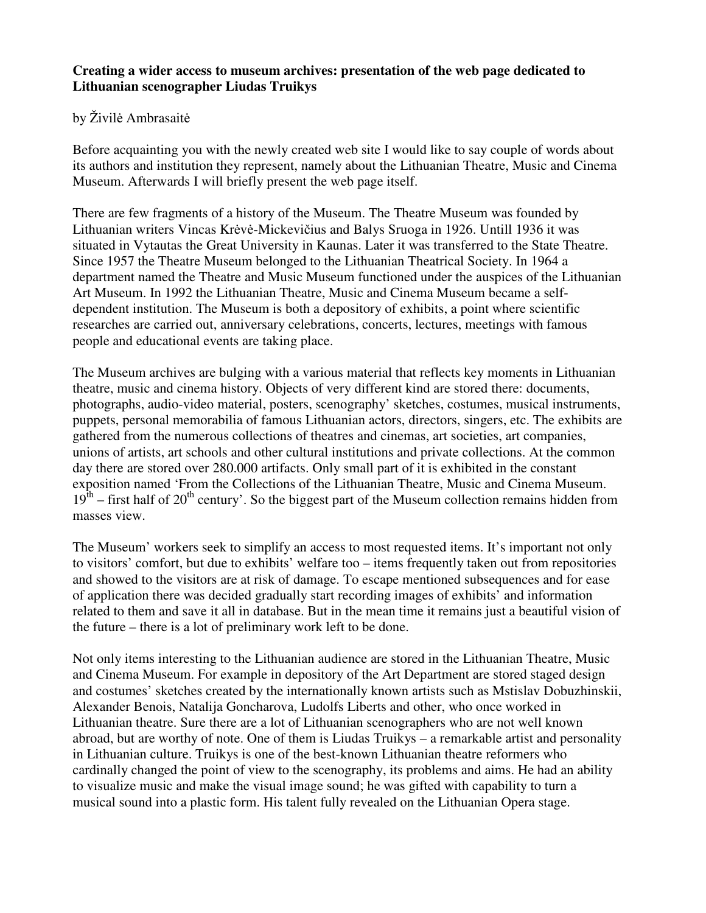## **Creating a wider access to museum archives: presentation of the web page dedicated to Lithuanian scenographer Liudas Truikys**

## by Živilė Ambrasaitė

Before acquainting you with the newly created web site I would like to say couple of words about its authors and institution they represent, namely about the Lithuanian Theatre, Music and Cinema Museum. Afterwards I will briefly present the web page itself.

There are few fragments of a history of the Museum. The Theatre Museum was founded by Lithuanian writers Vincas Krėvė-Mickevičius and Balys Sruoga in 1926. Untill 1936 it was situated in Vytautas the Great University in Kaunas. Later it was transferred to the State Theatre. Since 1957 the Theatre Museum belonged to the Lithuanian Theatrical Society. In 1964 a department named the Theatre and Music Museum functioned under the auspices of the Lithuanian Art Museum. In 1992 the Lithuanian Theatre, Music and Cinema Museum became a selfdependent institution. The Museum is both a depository of exhibits, a point where scientific researches are carried out, anniversary celebrations, concerts, lectures, meetings with famous people and educational events are taking place.

The Museum archives are bulging with a various material that reflects key moments in Lithuanian theatre, music and cinema history. Objects of very different kind are stored there: documents, photographs, audio-video material, posters, scenography' sketches, costumes, musical instruments, puppets, personal memorabilia of famous Lithuanian actors, directors, singers, etc. The exhibits are gathered from the numerous collections of theatres and cinemas, art societies, art companies, unions of artists, art schools and other cultural institutions and private collections. At the common day there are stored over 280.000 artifacts. Only small part of it is exhibited in the constant exposition named 'From the Collections of the Lithuanian Theatre, Music and Cinema Museum.  $19<sup>th</sup>$  – first half of 20<sup>th</sup> century'. So the biggest part of the Museum collection remains hidden from masses view.

The Museum' workers seek to simplify an access to most requested items. It's important not only to visitors' comfort, but due to exhibits' welfare too – items frequently taken out from repositories and showed to the visitors are at risk of damage. To escape mentioned subsequences and for ease of application there was decided gradually start recording images of exhibits' and information related to them and save it all in database. But in the mean time it remains just a beautiful vision of the future – there is a lot of preliminary work left to be done.

Not only items interesting to the Lithuanian audience are stored in the Lithuanian Theatre, Music and Cinema Museum. For example in depository of the Art Department are stored staged design and costumes' sketches created by the internationally known artists such as Mstislav Dobuzhinskii, Alexander Benois, Natalija Goncharova, Ludolfs Liberts and other, who once worked in Lithuanian theatre. Sure there are a lot of Lithuanian scenographers who are not well known abroad, but are worthy of note. One of them is Liudas Truikys – a remarkable artist and personality in Lithuanian culture. Truikys is one of the best-known Lithuanian theatre reformers who cardinally changed the point of view to the scenography, its problems and aims. He had an ability to visualize music and make the visual image sound; he was gifted with capability to turn a musical sound into a plastic form. His talent fully revealed on the Lithuanian Opera stage.